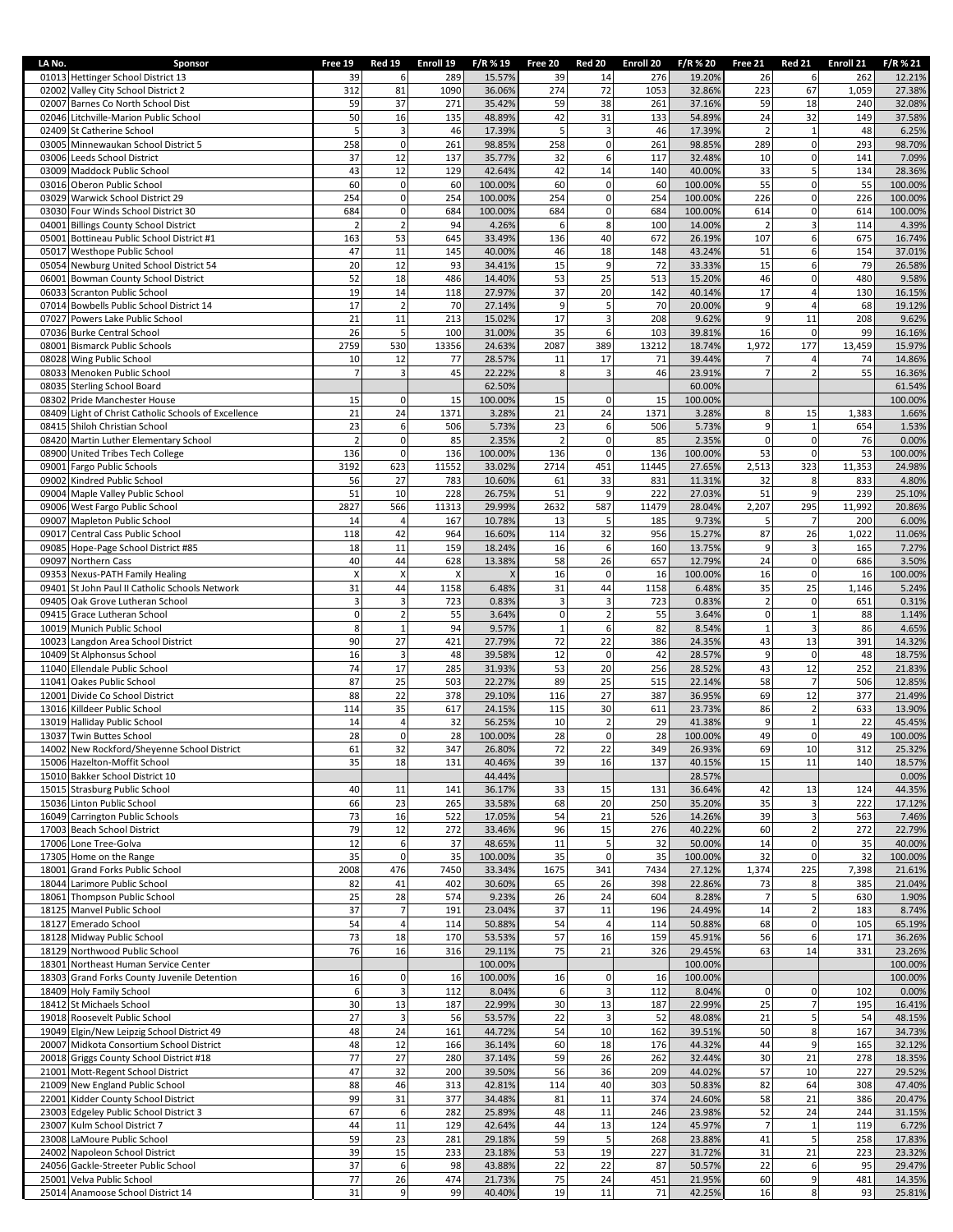| LA No. | Sponsor                                                                            | Free 19          | <b>Red 19</b>                             | Enroll 19   | F/R % 19          | Free 20          | <b>Red 20</b>                         | Enroll 20   | F/R % 20          | Free 21              | <b>Red 21</b>                 | Enroll 21    | F/R % 21          |
|--------|------------------------------------------------------------------------------------|------------------|-------------------------------------------|-------------|-------------------|------------------|---------------------------------------|-------------|-------------------|----------------------|-------------------------------|--------------|-------------------|
|        | 01013 Hettinger School District 13                                                 | 39               | 6                                         | 289         | 15.57%            | 39               | 14                                    | 276         | 19.20%            | 26                   | 6                             | 262          | 12.21%            |
|        | 02002 Valley City School District 2                                                | 312              | 81                                        | 1090        | 36.06%            | 274              | 72                                    | 1053        | 32.86%            | 223                  | 67                            | 1,059        | 27.38%            |
|        | 02007 Barnes Co North School Dist<br>02046 Litchville-Marion Public School         | 59<br>50         | 37<br>16                                  | 271<br>135  | 35.42%<br>48.89%  | 59<br>42         | 38<br>31                              | 261<br>133  | 37.16%<br>54.89%  | 59<br>24             | 18<br>32                      | 240<br>149   | 32.08%<br>37.58%  |
|        | 02409 St Catherine School                                                          | 5                | $\mathsf 3$                               | 46          | 17.39%            | 5                | $\mathsf 3$                           | 46          | 17.39%            | $\overline{2}$       | $\mathbf 1$                   | 48           | 6.25%             |
|        | 03005 Minnewaukan School District 5                                                | 258              | $\mathsf 0$                               | 261         | 98.85%            | 258              | $\mathbf 0$                           | 261         | 98.85%            | 289                  | $\pmb{0}$                     | 293          | 98.70%            |
|        | 03006 Leeds School District                                                        | 37               | 12                                        | 137         | 35.77%            | 32               | 6                                     | 117         | 32.48%            | 10                   | $\pmb{0}$                     | 141          | 7.09%             |
|        | 03009 Maddock Public School                                                        | 43               | 12                                        | 129         | 42.64%            | 42               | 14                                    | 140         | 40.00%            | 33                   | 5                             | 134          | 28.36%            |
|        | 03016 Oberon Public School                                                         | 60               | $\pmb{0}$                                 | 60          | 100.00%           | 60               | $\pmb{0}$                             | 60          | 100.00%           | 55                   | $\mathbf 0$                   | 55           | 100.00%           |
|        | 03029 Warwick School District 29                                                   | 254              | $\pmb{0}$                                 | 254         | 100.00%           | 254              | $\pmb{0}$                             | 254         | 100.00%           | 226                  | $\mathbf 0$                   | 226          | 100.00%           |
|        | 03030 Four Winds School District 30                                                | 684              | $\pmb{0}$                                 | 684         | 100.00%           | 684              | $\pmb{0}$                             | 684         | 100.00%           | 614                  | $\mathbf 0$                   | 614          | 100.00%           |
|        | 04001 Billings County School District<br>05001 Bottineau Public School District #1 | 163              | $\overline{2}$<br>53                      | 94<br>645   | 4.26%<br>33.49%   | 6<br>136         | 8<br>40                               | 100<br>672  | 14.00%<br>26.19%  | 2<br>107             | 3<br>6                        | 114<br>675   | 4.39%<br>16.74%   |
|        | 05017 Westhope Public School                                                       | 47               | 11                                        | 145         | 40.00%            | 46               | 18                                    | 148         | 43.24%            | 51                   | 6                             | 154          | 37.01%            |
|        | 05054 Newburg United School District 54                                            | 20               | 12                                        | 93          | 34.41%            | 15               | 9                                     | 72          | 33.33%            | 15                   | 6                             | 79           | 26.58%            |
|        | 06001 Bowman County School District                                                | 52               | 18                                        | 486         | 14.40%            | 53               | 25                                    | 513         | 15.20%            | 46                   | $\pmb{0}$                     | 480          | 9.58%             |
|        | 06033 Scranton Public School                                                       | 19               | 14                                        | 118         | 27.97%            | 37               | 20                                    | 142         | 40.14%            | 17                   | $\overline{4}$                | 130          | 16.15%            |
|        | 07014 Bowbells Public School District 14                                           | 17               | $\overline{2}$                            | 70          | 27.14%            | 9                | 5                                     | 70          | 20.00%            | 9                    | $\overline{4}$                | 68           | 19.12%            |
|        | 07027 Powers Lake Public School                                                    | 21               | 11                                        | 213         | 15.02%            | 17               | $\mathsf 3$                           | 208         | 9.62%             | 9                    | 11                            | 208          | 9.62%             |
|        | 07036 Burke Central School                                                         | 26               | 5                                         | 100         | 31.00%            | 35               | 6                                     | 103         | 39.81%            | 16                   | $\pmb{0}$                     | 99           | 16.16%            |
|        | 08001 Bismarck Public Schools<br>08028 Wing Public School                          | 2759<br>10       | 530<br>12                                 | 13356<br>77 | 24.63%<br>28.57%  | 2087<br>11       | 389<br>17                             | 13212<br>71 | 18.74%<br>39.44%  | 1,972                | 177<br>$\overline{4}$         | 13,459<br>74 | 15.97%<br>14.86%  |
|        | 08033 Menoken Public School                                                        |                  | $\overline{3}$                            | 45          | 22.22%            | 8                | $\overline{3}$                        | 46          | 23.91%            |                      | $\overline{2}$                | 55           | 16.36%            |
|        | 08035 Sterling School Board                                                        |                  |                                           |             | 62.50%            |                  |                                       |             | 60.00%            |                      |                               |              | 61.54%            |
|        | 08302 Pride Manchester House                                                       | 15               | 0                                         | 15          | 100.00%           | 15               | $\mathsf 0$                           | 15          | 100.00%           |                      |                               |              | 100.00%           |
|        | 08409 Light of Christ Catholic Schools of Excellence                               | 21               | 24                                        | 1371        | 3.28%             | 21               | 24                                    | 1371        | 3.28%             | 8                    | 15                            | 1,383        | 1.66%             |
|        | 08415 Shiloh Christian School                                                      | 23               | 6                                         | 506         | 5.73%             | 23               | $\boldsymbol{6}$                      | 506         | 5.73%             | $\overline{9}$       | $\mathbf 1$                   | 654          | 1.53%             |
|        | 08420 Martin Luther Elementary School                                              | $\overline{2}$   | $\pmb{0}$                                 | 85          | 2.35%             | $\overline{2}$   | $\mathbf 0$                           | 85          | 2.35%             | $\overline{0}$       | $\mathbf 0$                   | 76           | 0.00%             |
|        | 08900 United Tribes Tech College                                                   | 136              | $\pmb{0}$                                 | 136         | 100.00%           | 136              | $\pmb{0}$                             | 136         | 100.00%           | 53                   | $\mathsf{O}\xspace$           | 53           | 100.00%           |
|        | 09001 Fargo Public Schools                                                         | 3192             | 623                                       | 11552       | 33.02%            | 2714             | 451                                   | 11445       | 27.65%            | 2,513                | 323                           | 11,353       | 24.98%            |
|        | 09002 Kindred Public School<br>09004 Maple Valley Public School                    | 56<br>51         | 27<br>10                                  | 783<br>228  | 10.60%<br>26.75%  | 61<br>51         | 33<br>9                               | 831<br>222  | 11.31%<br>27.03%  | 32<br>51             | 8<br>9                        | 833<br>239   | 4.80%<br>25.10%   |
|        | 09006 West Fargo Public School                                                     | 2827             | 566                                       | 11313       | 29.99%            | 2632             | 587                                   | 11479       | 28.04%            | 2,207                | 295                           | 11,992       | 20.86%            |
|        | 09007 Mapleton Public School                                                       | 14               | $\overline{4}$                            | 167         | 10.78%            | 13               | 5                                     | 185         | 9.73%             | 5                    | $\overline{7}$                | 200          | 6.00%             |
|        | 09017 Central Cass Public School                                                   | 118              | 42                                        | 964         | 16.60%            | 114              | 32                                    | 956         | 15.27%            | 87                   | 26                            | 1,022        | 11.06%            |
|        | 09085 Hope-Page School District #85                                                | 18               | 11                                        | 159         | 18.24%            | 16               | $\boldsymbol{6}$                      | 160         | 13.75%            | 9                    | 3                             | 165          | 7.27%             |
|        | 09097 Northern Cass                                                                | 40               | 44                                        | 628         | 13.38%            | 58               | 26                                    | 657         | 12.79%            | 24                   | $\mathbf 0$                   | 686          | 3.50%             |
|        | 09353 Nexus-PATH Family Healing                                                    | X                | $\pmb{\mathsf{X}}$                        | X           |                   | 16               | $\pmb{0}$                             | 16          | 100.00%           | 16                   | $\mathsf{O}\xspace$           | 16           | 100.00%           |
|        | 09401 St John Paul II Catholic Schools Network                                     | 31               | 44                                        | 1158        | 6.48%             | 31               | 44                                    | 1158        | 6.48%             | 35<br>$\overline{2}$ | 25                            | 1,146        | 5.24%             |
|        | 09405 Oak Grove Lutheran School<br>09415 Grace Lutheran School                     | 3<br>$\mathbf 0$ | $\overline{\mathbf{3}}$<br>$\overline{2}$ | 723<br>55   | 0.83%<br>3.64%    | 3<br>$\mathbf 0$ | $\overline{\mathbf{3}}$<br>$\sqrt{2}$ | 723<br>55   | 0.83%<br>3.64%    | $\mathbf{0}$         | $\pmb{0}$<br>$\mathbf 1$      | 651<br>88    | 0.31%<br>1.14%    |
|        | 10019 Munich Public School                                                         | 8                | $\mathbf{1}$                              | 94          | 9.57%             | $\mathbf{1}$     | $\boldsymbol{6}$                      | 82          | 8.54%             | $\mathbf 1$          | 3                             | 86           | 4.65%             |
|        | 10023 Langdon Area School District                                                 | 90               | 27                                        | 421         | 27.79%            | 72               | 22                                    | 386         | 24.35%            | 43                   | 13                            | 391          | 14.32%            |
|        | 10409 St Alphonsus School                                                          | 16               | $\overline{\mathbf{3}}$                   | 48          | 39.58%            | 12               | $\pmb{0}$                             | 42          | 28.57%            | 9                    | $\pmb{0}$                     | 48           | 18.75%            |
|        | 11040 Ellendale Public School                                                      | 74               | 17                                        | 285         | 31.93%            | 53               | 20                                    | 256         | 28.52%            | 43                   | 12                            | 252          | 21.83%            |
|        | 11041 Oakes Public School                                                          | 87               | 25                                        | 503         | 22.27%            | 89               | 25                                    | 515         | 22.14%            | 58                   | $\overline{7}$                | 506          | 12.85%            |
|        | 12001 Divide Co School District                                                    | 88               | 22                                        | 378         | 29.10%            | 116              | 27                                    | 387         | 36.95%            | 69                   | 12                            | 377          | 21.49%            |
|        | 13016 Killdeer Public School                                                       | 114<br>14        | 35<br>$\overline{4}$                      | 617<br>32   | 24.15%<br>56.25%  | 115<br>10        | 30<br>$\sqrt{2}$                      | 611<br>29   | 23.73%<br>41.38%  | 86<br>9              | $\overline{2}$<br>$\mathbf 1$ | 633<br>22    | 13.90%<br>45.45%  |
|        | 13019 Halliday Public School<br>13037 Twin Buttes School                           | 28               | $\mathsf 0$                               | 28          | 100.00%           | 28               | $\pmb{0}$                             | 28          | 100.00%           | 49                   | $\pmb{0}$                     | 49           | 100.00%           |
|        | 14002 New Rockford/Sheyenne School District                                        | 61               | 32                                        | 347         | 26.80%            | 72               | 22                                    | 349         | 26.93%            | 69                   | 10                            | 312          | 25.32%            |
|        | 15006 Hazelton-Moffit School                                                       | 35               | 18                                        | 131         | 40.46%            | 39               | 16                                    | 137         | 40.15%            | 15                   | 11                            | 140          | 18.57%            |
|        | 15010 Bakker School District 10                                                    |                  |                                           |             | 44.44%            |                  |                                       |             | 28.57%            |                      |                               |              | 0.00%             |
|        | 15015 Strasburg Public School                                                      | 40               | 11                                        | 141         | 36.17%            | 33               | 15                                    | 131         | 36.64%            | 42                   | 13                            | 124          | 44.35%            |
|        | 15036 Linton Public School                                                         | 66               | 23                                        | 265         | 33.58%            | 68               | 20                                    | 250         | 35.20%            | 35                   | 3                             | 222          | 17.12%            |
|        | 16049 Carrington Public Schools                                                    | 73               | 16                                        | 522         | 17.05%            | 54               | 21                                    | 526         | 14.26%            | 39                   | 3                             | 563          | 7.46%             |
|        | 17003 Beach School District<br>17006 Lone Tree-Golva                               | 79<br>12         | 12<br>$\boldsymbol{6}$                    | 272<br>37   | 33.46%<br>48.65%  | 96<br>11         | 15<br>5                               | 276<br>32   | 40.22%<br>50.00%  | 60<br>14             | $\overline{2}$<br>$\pmb{0}$   | 272          | 22.79%<br>40.00%  |
|        | 17305 Home on the Range                                                            | 35               | $\pmb{0}$                                 | 35          | 100.00%           | 35               | $\pmb{0}$                             | 35          | 100.00%           | 32                   | $\mathsf{O}\xspace$           | 35<br>32     | 100.00%           |
|        | 18001 Grand Forks Public School                                                    | 2008             | 476                                       | 7450        | 33.34%            | 1675             | 341                                   | 7434        | 27.12%            | 1,374                | 225                           | 7,398        | 21.61%            |
|        | 18044 Larimore Public School                                                       | 82               | 41                                        | 402         | 30.60%            | 65               | 26                                    | 398         | 22.86%            | 73                   | 8                             | 385          | 21.04%            |
|        | 18061 Thompson Public School                                                       | 25               | 28                                        | 574         | 9.23%             | 26               | 24                                    | 604         | 8.28%             | $7\overline{ }$      | 5                             | 630          | 1.90%             |
|        | 18125 Manvel Public School                                                         | 37               | $\overline{7}$                            | 191         | 23.04%            | 37               | 11                                    | 196         | 24.49%            | 14                   | $\mathbf 2$                   | 183          | 8.74%             |
|        | 18127 Emerado School                                                               | 54               | $\overline{4}$                            | 114         | 50.88%            | 54               | $\overline{4}$                        | 114         | 50.88%            | 68                   | $\mathbf 0$                   | 105          | 65.19%            |
|        | 18128 Midway Public School                                                         | 73               | 18                                        | 170         | 53.53%            | 57               | 16                                    | 159         | 45.91%            | 56                   | $\boldsymbol{6}$              | 171          | 36.26%            |
|        | 18129 Northwood Public School<br>18301 Northeast Human Service Center              | 76               | 16                                        | 316         | 29.11%<br>100.00% | 75               | 21                                    | 326         | 29.45%<br>100.00% | 63                   | 14                            | 331          | 23.26%<br>100.00% |
|        | 18303 Grand Forks County Juvenile Detention                                        | 16               | $\pmb{0}$                                 | 16          | 100.00%           | 16               | $\pmb{0}$                             | 16          | 100.00%           |                      |                               |              | 100.00%           |
|        | 18409 Holy Family School                                                           | 6                | 3                                         | 112         | 8.04%             | 6                | $\mathsf 3$                           | 112         | 8.04%             | $\overline{0}$       | $\mathbf 0$                   | 102          | 0.00%             |
|        | 18412 St Michaels School                                                           | 30               | 13                                        | 187         | 22.99%            | 30               | 13                                    | 187         | 22.99%            | 25                   | $\overline{7}$                | 195          | 16.41%            |
|        | 19018 Roosevelt Public School                                                      | 27               | $\mathsf 3$                               | 56          | 53.57%            | 22               | $\mathsf 3$                           | 52          | 48.08%            | 21                   | 5                             | 54           | 48.15%            |
|        | 19049 Elgin/New Leipzig School District 49                                         | 48               | 24                                        | 161         | 44.72%            | 54               | 10                                    | 162         | 39.51%            | 50                   | 8                             | 167          | 34.73%            |
|        | 20007 Midkota Consortium School District                                           | 48               | 12                                        | 166         | 36.14%            | 60               | 18                                    | 176         | 44.32%            | 44                   | 9                             | 165          | 32.12%            |
|        | 20018 Griggs County School District #18                                            | 77               | 27                                        | 280         | 37.14%            | 59               | 26                                    | 262         | 32.44%            | 30                   | 21                            | 278          | 18.35%            |
|        | 21001 Mott-Regent School District<br>21009 New England Public School               | 47<br>88         | 32<br>46                                  | 200<br>313  | 39.50%<br>42.81%  | 56<br>114        | 36<br>40                              | 209<br>303  | 44.02%<br>50.83%  | 57<br>82             | 10<br>64                      | 227<br>308   | 29.52%<br>47.40%  |
|        | 22001 Kidder County School District                                                | 99               | 31                                        | 377         | 34.48%            | 81               | 11                                    | 374         | 24.60%            | 58                   | 21                            | 386          | 20.47%            |
|        | 23003 Edgeley Public School District 3                                             | 67               | 6                                         | 282         | 25.89%            | 48               | 11                                    | 246         | 23.98%            | 52                   | 24                            | 244          | 31.15%            |
|        | 23007 Kulm School District 7                                                       | 44               | 11                                        | 129         | 42.64%            | 44               | 13                                    | 124         | 45.97%            | $\overline{7}$       | $\mathbf 1$                   | 119          | 6.72%             |
|        | 23008 LaMoure Public School                                                        | 59               | 23                                        | 281         | 29.18%            | 59               | 5                                     | 268         | 23.88%            | 41                   | 5                             | 258          | 17.83%            |
|        | 24002 Napoleon School District                                                     | 39               | 15                                        | 233         | 23.18%            | 53               | 19                                    | 227         | 31.72%            | 31                   | 21                            | 223          | 23.32%            |
|        | 24056 Gackle-Streeter Public School                                                | 37               | 6                                         | 98          | 43.88%            | 22               | 22                                    | 87          | 50.57%            | 22                   | 6                             | 95           | 29.47%            |
|        | 25001 Velva Public School<br>25014 Anamoose School District 14                     | 77<br>31         | 26<br>9                                   | 474<br>99   | 21.73%<br>40.40%  | 75<br>19         | 24<br>$11\,$                          | 451<br>71   | 21.95%<br>42.25%  | 60<br>16             | 9<br>$\bf 8$                  | 481<br>93    | 14.35%<br>25.81%  |
|        |                                                                                    |                  |                                           |             |                   |                  |                                       |             |                   |                      |                               |              |                   |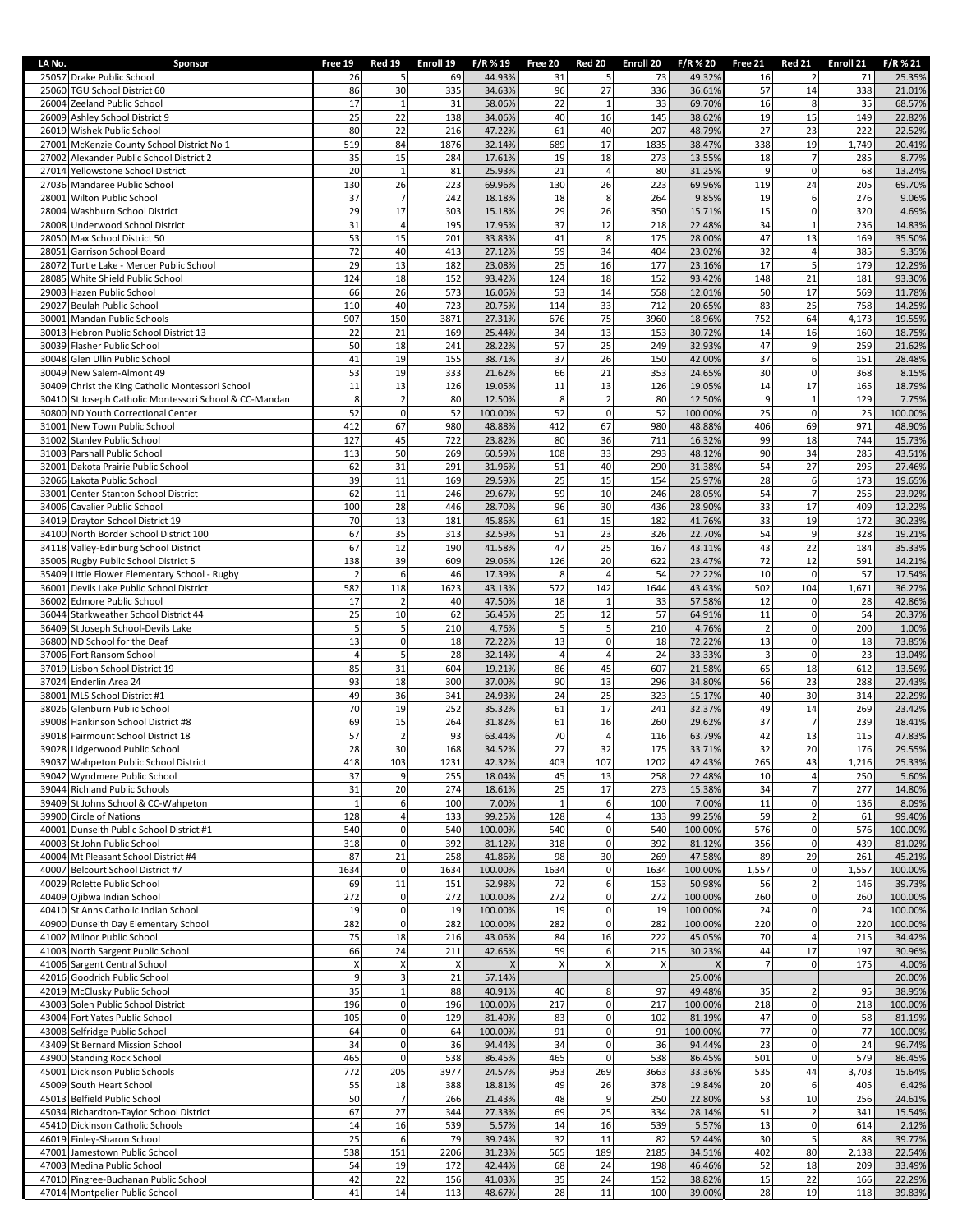| LA No. | Sponsor                                                                                      | Free 19               | <b>Red 19</b>                 | Enroll 19                 | F/R % 19          | Free 20               | <b>Red 20</b>              | Enroll 20                 | F/R % 20          | Free 21              | <b>Red 21</b>                 | Enroll 21    | F/R % 21          |
|--------|----------------------------------------------------------------------------------------------|-----------------------|-------------------------------|---------------------------|-------------------|-----------------------|----------------------------|---------------------------|-------------------|----------------------|-------------------------------|--------------|-------------------|
|        | 25057 Drake Public School                                                                    | 26                    | 5                             | 69                        | 44.93%            | 31                    | 5                          | 73                        | 49.32%            | 16                   | $\overline{2}$                | 71           | 25.35%            |
|        | 25060 TGU School District 60<br>26004 Zeeland Public School                                  | 86<br>17              | 30<br>$\mathbf{1}$            | 335<br>31                 | 34.63%<br>58.06%  | 96<br>22              | 27<br>$\mathbf{1}$         | 336<br>33                 | 36.61%<br>69.70%  | 57<br>16             | 14<br>8                       | 338<br>35    | 21.01%<br>68.57%  |
|        | 26009 Ashley School District 9                                                               | 25                    | 22                            | 138                       | 34.06%            | 40                    | 16                         | 145                       | 38.62%            | 19                   | 15                            | 149          | 22.82%            |
|        | 26019 Wishek Public School                                                                   | 80                    | 22                            | 216                       | 47.22%            | 61                    | 40                         | 207                       | 48.79%            | 27                   | 23                            | 222          | 22.52%            |
| 27001  | McKenzie County School District No 1                                                         | 519                   | 84                            | 1876                      | 32.14%            | 689                   | 17                         | 1835                      | 38.47%            | 338                  | 19                            | 1,749        | 20.41%            |
|        | 27002 Alexander Public School District 2                                                     | 35                    | 15<br>$\mathbf{1}$            | 284                       | 17.61%            | 19<br>21              | 18                         | 273                       | 13.55%            | 18<br>9              | $\overline{7}$<br>$\pmb{0}$   | 285          | 8.77%             |
|        | 27014 Yellowstone School District<br>27036 Mandaree Public School                            | 20<br>130             | 26                            | 81<br>223                 | 25.93%<br>69.96%  | 130                   | $\overline{4}$<br>26       | 80<br>223                 | 31.25%<br>69.96%  | 119                  | 24                            | 68<br>205    | 13.24%<br>69.70%  |
| 28001  | Wilton Public School                                                                         | 37                    | $\overline{7}$                | 242                       | 18.18%            | 18                    | 8                          | 264                       | 9.85%             | 19                   | 6                             | 276          | 9.06%             |
|        | 28004 Washburn School District                                                               | 29                    | 17                            | 303                       | 15.18%            | 29                    | 26                         | 350                       | 15.71%            | 15                   | $\mathbf 0$                   | 320          | 4.69%             |
|        | 28008 Underwood School District                                                              | 31                    | 4                             | 195                       | 17.95%            | 37                    | 12                         | 218                       | 22.48%            | 34                   | $\mathbf{1}$                  | 236          | 14.83%            |
| 28051  | 28050 Max School District 50<br>Garrison School Board                                        | 53<br>72              | 15<br>40                      | 201<br>413                | 33.839<br>27.12%  | 41<br>59              | 8<br>34                    | 175<br>404                | 28.00%<br>23.02%  | 47<br>32             | 13<br>$\overline{a}$          | 169<br>385   | 35.50%<br>9.35%   |
| 28072  | Turtle Lake - Mercer Public School                                                           | 29                    | 13                            | 182                       | 23.08%            | 25                    | 16                         | 177                       | 23.16%            | 17                   | 5                             | 179          | 12.29%            |
| 28085  | White Shield Public School                                                                   | 124                   | 18                            | 152                       | 93.42%            | 124                   | 18                         | 152                       | 93.42%            | 148                  | 21                            | 181          | 93.30%            |
| 29003  | Hazen Public School                                                                          | 66                    | 26                            | 573                       | 16.06%            | 53                    | 14                         | 558                       | 12.01%            | 50                   | 17                            | 569          | 11.78%            |
| 29027  | Beulah Public School                                                                         | 110                   | 40                            | 723                       | 20.75%            | 114                   | 33                         | 712                       | 20.65%            | 83                   | 25                            | 758          | 14.25%            |
| 30001  | Mandan Public Schools<br>30013 Hebron Public School District 13                              | 907<br>22             | 150<br>21                     | 3871<br>169               | 27.31%<br>25.44%  | 676<br>34             | 75<br>13                   | 3960<br>153               | 18.96%<br>30.72%  | 752<br>14            | 64<br>16                      | 4,173<br>160 | 19.55%<br>18.75%  |
|        | 30039 Flasher Public School                                                                  | 50                    | 18                            | 241                       | 28.22%            | 57                    | 25                         | 249                       | 32.93%            | 47                   | 9                             | 259          | 21.62%            |
|        | 30048 Glen Ullin Public School                                                               | 41                    | 19                            | 155                       | 38.71%            | 37                    | 26                         | 150                       | 42.00%            | 37                   | 6                             | 151          | 28.48%            |
|        | 30049 New Salem-Almont 49                                                                    | 53                    | 19                            | 333                       | 21.62%            | 66                    | 21                         | 353                       | 24.65%            | 30                   | $\mathbf 0$                   | 368          | 8.15%             |
|        | 30409 Christ the King Catholic Montessori School                                             | 11                    | 13                            | 126                       | 19.05%            | 11                    | 13                         | 126                       | 19.05%            | 14                   | 17                            | 165          | 18.79%            |
|        | 30410 St Joseph Catholic Montessori School & CC-Mandan<br>30800 ND Youth Correctional Center | 8<br>52               | $\overline{2}$<br>$\mathsf 0$ | 80<br>52                  | 12.50%<br>100.00% | 8<br>52               | $\mathbf 2$<br>$\mathbf 0$ | 80<br>52                  | 12.50%<br>100.00% | 9<br>25              | $\mathbf{1}$<br>$\pmb{0}$     | 129<br>25    | 7.75%<br>100.00%  |
|        | 31001 New Town Public School                                                                 | 412                   | 67                            | 980                       | 48.88%            | 412                   | 67                         | 980                       | 48.88%            | 406                  | 69                            | 971          | 48.90%            |
|        | 31002 Stanley Public School                                                                  | 127                   | 45                            | 722                       | 23.82%            | 80                    | 36                         | 711                       | 16.32%            | 99                   | 18                            | 744          | 15.73%            |
|        | 31003 Parshall Public School                                                                 | 113                   | 50                            | 269                       | 60.59%            | 108                   | 33                         | 293                       | 48.12%            | 90                   | 34                            | 285          | 43.51%            |
| 32001  | Dakota Prairie Public School                                                                 | 62                    | 31                            | 291                       | 31.96%            | 51                    | 40                         | 290                       | 31.38%            | 54                   | 27                            | 295          | 27.46%            |
| 33001  | 32066 Lakota Public School<br>Center Stanton School District                                 | 39<br>62              | 11<br>11                      | 169<br>246                | 29.59%<br>29.67%  | 25<br>59              | 15<br>10                   | 154<br>246                | 25.97%<br>28.05%  | 28<br>54             | 6<br>$\overline{7}$           | 173<br>255   | 19.65%<br>23.92%  |
|        | 34006 Cavalier Public School                                                                 | 100                   | 28                            | 446                       | 28.70%            | 96                    | 30                         | 436                       | 28.90%            | 33                   | 17                            | 409          | 12.22%            |
|        | 34019 Drayton School District 19                                                             | 70                    | 13                            | 181                       | 45.86%            | 61                    | 15                         | 182                       | 41.76%            | 33                   | 19                            | 172          | 30.23%            |
|        | 34100 North Border School District 100                                                       | 67                    | 35                            | 313                       | 32.59%            | 51                    | 23                         | 326                       | 22.70%            | 54                   | 9                             | 328          | 19.21%            |
|        | 34118 Valley-Edinburg School District                                                        | 67                    | 12                            | 190                       | 41.58%            | 47                    | 25                         | 167                       | 43.11%            | 43                   | 22                            | 184          | 35.33%            |
|        | 35005 Rugby Public School District 5<br>35409 Little Flower Elementary School - Rugby        | 138<br>$\overline{2}$ | 39<br>6                       | 609<br>46                 | 29.06%<br>17.39%  | 126<br>8              | 20<br>$\sqrt{4}$           | 622<br>54                 | 23.47%<br>22.22%  | 72<br>10             | 12<br>$\mathbf 0$             | 591<br>57    | 14.21%<br>17.54%  |
|        | 36001 Devils Lake Public School District                                                     | 582                   | 118                           | 1623                      | 43.13%            | 572                   | 142                        | 1644                      | 43.43%            | 502                  | 104                           | 1,671        | 36.27%            |
| 36002  | Edmore Public School                                                                         | 17                    | $\overline{2}$                | 40                        | 47.50%            | 18                    | $\mathbf{1}$               | 33                        | 57.58%            | 12                   | $\mathbf 0$                   | 28           | 42.86%            |
|        | 36044 Starkweather School District 44                                                        | 25                    | 10                            | 62                        | 56.45%            | 25                    | 12                         | 57                        | 64.91%            | 11                   | $\mathbf 0$                   | 54           | 20.37%            |
|        | 36409 St Joseph School-Devils Lake<br>36800 ND School for the Deaf                           | 5<br>13               | 5<br>$\mathbf 0$              | 210<br>18                 | 4.76%<br>72.229   | $5\overline{)}$<br>13 | 5<br>$\mathbf 0$           | 210<br>18                 | 4.76%<br>72.22%   | $\overline{2}$<br>13 | $\pmb{0}$<br>$\mathbf 0$      | 200<br>18    | 1.00%<br>73.85%   |
|        | 37006 Fort Ransom School                                                                     | 4                     | 5                             | 28                        | 32.14%            | $\overline{4}$        | $\overline{a}$             | 24                        | 33.33%            | 3                    | $\pmb{0}$                     | 23           | 13.04%            |
|        | 37019 Lisbon School District 19                                                              | 85                    | 31                            | 604                       | 19.21%            | 86                    | 45                         | 607                       | 21.58%            | 65                   | 18                            | 612          | 13.56%            |
|        | 37024 Enderlin Area 24                                                                       | 93                    | 18                            | 300                       | 37.00%            | 90                    | 13                         | 296                       | 34.80%            | 56                   | 23                            | 288          | 27.43%            |
| 38001  | MLS School District #1                                                                       | 49                    | 36                            | 341                       | 24.93%            | 24                    | 25                         | 323                       | 15.17%            | 40                   | 30                            | 314          | 22.29%            |
| 39008  | 38026 Glenburn Public School<br>Hankinson School District #8                                 | 70<br>69              | 19<br>15                      | 252<br>264                | 35.32%<br>31.82%  | 61<br>61              | 17<br>16                   | 241<br>260                | 32.37%<br>29.62%  | 49<br>37             | 14<br>$\overline{7}$          | 269<br>239   | 23.42%<br>18.41%  |
|        | 39018 Fairmount School District 18                                                           | 57                    | $\overline{2}$                | 93                        | 63.44%            | 70                    | $\overline{4}$             | 116                       | 63.79%            | 42                   | 13                            | 115          | 47.83%            |
|        | 39028 Lidgerwood Public School                                                               | 28                    | 30                            | 168                       | 34.52%            | 27                    | 32                         | 175                       | 33.71%            | 32                   | 20                            | 176          | 29.55%            |
|        | 39037 Wahpeton Public School District                                                        | 418                   | 103                           | 1231                      | 42.32%            | 403                   | 107                        | 1202                      | 42.43%            | 265                  | 43                            | 1,216        | 25.33%            |
|        | 39042 Wyndmere Public School                                                                 | 37                    | 9                             | 255                       | 18.04%            | 45                    | 13                         | 258                       | 22.48%            | 10                   | $\overline{a}$                | 250          | 5.60%             |
|        | 39044 Richland Public Schools<br>39409 St Johns School & CC-Wahpeton                         | 31<br>1               | 20<br>6                       | 274<br>100                | 18.61%<br>7.00%   | 25<br>$\mathbf{1}$    | 17<br>6                    | 273<br>100                | 15.38%<br>7.00%   | 34<br>11             | $\overline{7}$<br>$\mathbf 0$ | 277<br>136   | 14.80%<br>8.09%   |
|        | 39900 Circle of Nations                                                                      | 128                   | $\overline{4}$                | 133                       | 99.25%            | 128                   | $\overline{a}$             | 133                       | 99.25%            | 59                   | $\overline{2}$                | 61           | 99.40%            |
|        | 40001 Dunseith Public School District #1                                                     | 540                   | $\mathbf 0$                   | 540                       | 100.00%           | 540                   | $\mathbf{0}$               | 540                       | 100.00%           | 576                  | $\pmb{0}$                     | 576          | 100.00%           |
|        | 40003 St John Public School                                                                  | 318                   | $\mathbf 0$                   | 392                       | 81.12%            | 318                   | $\mathbf 0$                | 392                       | 81.12%            | 356                  | $\pmb{0}$                     | 439          | 81.02%            |
| 40007  | 40004 Mt Pleasant School District #4<br>Belcourt School District #7                          | 87<br>1634            | 21<br>$\mathbf 0$             | 258<br>1634               | 41.869<br>100.00% | 98<br>1634            | 30<br>$\mathbf 0$          | 269<br>1634               | 47.58%<br>100.00% | 89<br>1,557          | 29<br>$\pmb{0}$               | 261<br>1,557 | 45.21%<br>100.00% |
|        | 40029 Rolette Public School                                                                  | 69                    | 11                            | 151                       | 52.98%            | 72                    | 6                          | 153                       | 50.98%            | 56                   | $\overline{2}$                | 146          | 39.73%            |
|        | 40409 Ojibwa Indian School                                                                   | 272                   | $\mathbf 0$                   | 272                       | 100.00%           | 272                   | $\mathbf 0$                | 272                       | 100.00%           | 260                  | $\mathbf 0$                   | 260          | 100.00%           |
|        | 40410 St Anns Catholic Indian School                                                         | 19                    | $\mathbf 0$                   | 19                        | 100.00%           | 19                    | $\mathbf 0$                | 19                        | 100.00%           | 24                   | $\pmb{0}$                     | 24           | 100.00%           |
|        | 40900 Dunseith Day Elementary School                                                         | 282                   | $\mathbf 0$                   | 282                       | 100.00%           | 282                   | $\mathbf 0$                | 282                       | 100.00%           | 220                  | $\mathbf 0$                   | 220          | 100.00%           |
|        | 41002 Milnor Public School<br>41003 North Sargent Public School                              | 75<br>66              | 18<br>24                      | 216<br>211                | 43.06%<br>42.65%  | 84<br>59              | 16<br>6                    | 222<br>215                | 45.05%<br>30.23%  | 70<br>44             | $\overline{\mathbf{4}}$<br>17 | 215<br>197   | 34.42%<br>30.96%  |
|        | 41006 Sargent Central School                                                                 | Χ                     | $\boldsymbol{\mathsf{X}}$     | $\boldsymbol{\mathsf{x}}$ |                   | $\pmb{\times}$        | $\pmb{\times}$             | $\boldsymbol{\mathsf{x}}$ |                   | $\overline{7}$       | $\mathbf 0$                   | 175          | 4.00%             |
|        | 42016 Goodrich Public School                                                                 | 9                     | 3                             | 21                        | 57.14%            |                       |                            |                           | 25.00%            |                      |                               |              | 20.00%            |
|        | 42019 McClusky Public School                                                                 | 35                    | $1\,$                         | 88                        | 40.91%            | 40                    | 8                          | 97                        | 49.48%            | 35                   | $\overline{2}$                | 95           | 38.95%            |
|        | 43003 Solen Public School District                                                           | 196                   | $\mathbf 0$<br>$\overline{0}$ | 196                       | 100.00%           | 217                   | $\mathbf 0$<br>$\mathbf 0$ | 217                       | 100.00%           | 218                  | $\mathbf 0$                   | 218          | 100.00%           |
|        | 43004 Fort Yates Public School<br>43008 Selfridge Public School                              | 105<br>64             | $\mathbf 0$                   | 129<br>64                 | 81.40%<br>100.00% | 83<br>91              | $\mathbf 0$                | 102<br>91                 | 81.19%<br>100.00% | 47<br>77             | $\mathbf 0$<br>$\pmb{0}$      | 58<br>77     | 81.19%<br>100.00% |
|        | 43409 St Bernard Mission School                                                              | 34                    | $\mathbf 0$                   | 36                        | 94.44%            | 34                    | $\mathbf 0$                | 36                        | 94.44%            | 23                   | $\pmb{0}$                     | 24           | 96.74%            |
|        | 43900 Standing Rock School                                                                   | 465                   | $\pmb{0}$                     | 538                       | 86.45%            | 465                   | $\mathbf 0$                | 538                       | 86.45%            | 501                  | $\mathbf 0$                   | 579          | 86.45%            |
|        | 45001 Dickinson Public Schools                                                               | 772                   | 205                           | 3977                      | 24.57%            | 953                   | 269                        | 3663                      | 33.36%            | 535                  | 44                            | 3,703        | 15.64%            |
|        | 45009 South Heart School                                                                     | 55                    | 18<br>$\overline{7}$          | 388                       | 18.81%            | 49                    | 26<br>9                    | 378                       | 19.84%            | 20<br>53             | $\,6\,$<br>10                 | 405<br>256   | 6.42%             |
|        | 45013 Belfield Public School<br>45034 Richardton-Taylor School District                      | 50<br>67              | 27                            | 266<br>344                | 21.43%<br>27.33%  | 48<br>69              | 25                         | 250<br>334                | 22.80%<br>28.14%  | 51                   | $\overline{2}$                | 341          | 24.61%<br>15.54%  |
|        | 45410 Dickinson Catholic Schools                                                             | 14                    | 16                            | 539                       | 5.57%             | 14                    | 16                         | 539                       | 5.57%             | 13                   | $\mathbf 0$                   | 614          | 2.12%             |
|        | 46019 Finley-Sharon School                                                                   | 25                    | 6                             | 79                        | 39.24%            | 32                    | 11                         | 82                        | 52.44%            | 30                   | $\overline{\mathbf{5}}$       | 88           | 39.77%            |
|        | 47001 Jamestown Public School                                                                | 538                   | 151                           | 2206                      | 31.23%            | 565                   | 189                        | 2185                      | 34.51%            | 402                  | 80                            | 2,138        | 22.54%            |
|        | 47003 Medina Public School<br>47010 Pingree-Buchanan Public School                           | 54<br>42              | 19<br>22                      | 172<br>156                | 42.44%<br>41.03%  | 68<br>35              | 24<br>24                   | 198<br>152                | 46.46%<br>38.82%  | 52<br>15             | 18<br>22                      | 209<br>166   | 33.49%<br>22.29%  |
|        | 47014 Montpelier Public School                                                               | 41                    | 14                            | 113                       | 48.67%            | 28                    | ${\bf 11}$                 | 100                       | 39.00%            | 28                   | 19                            | 118          | 39.83%            |